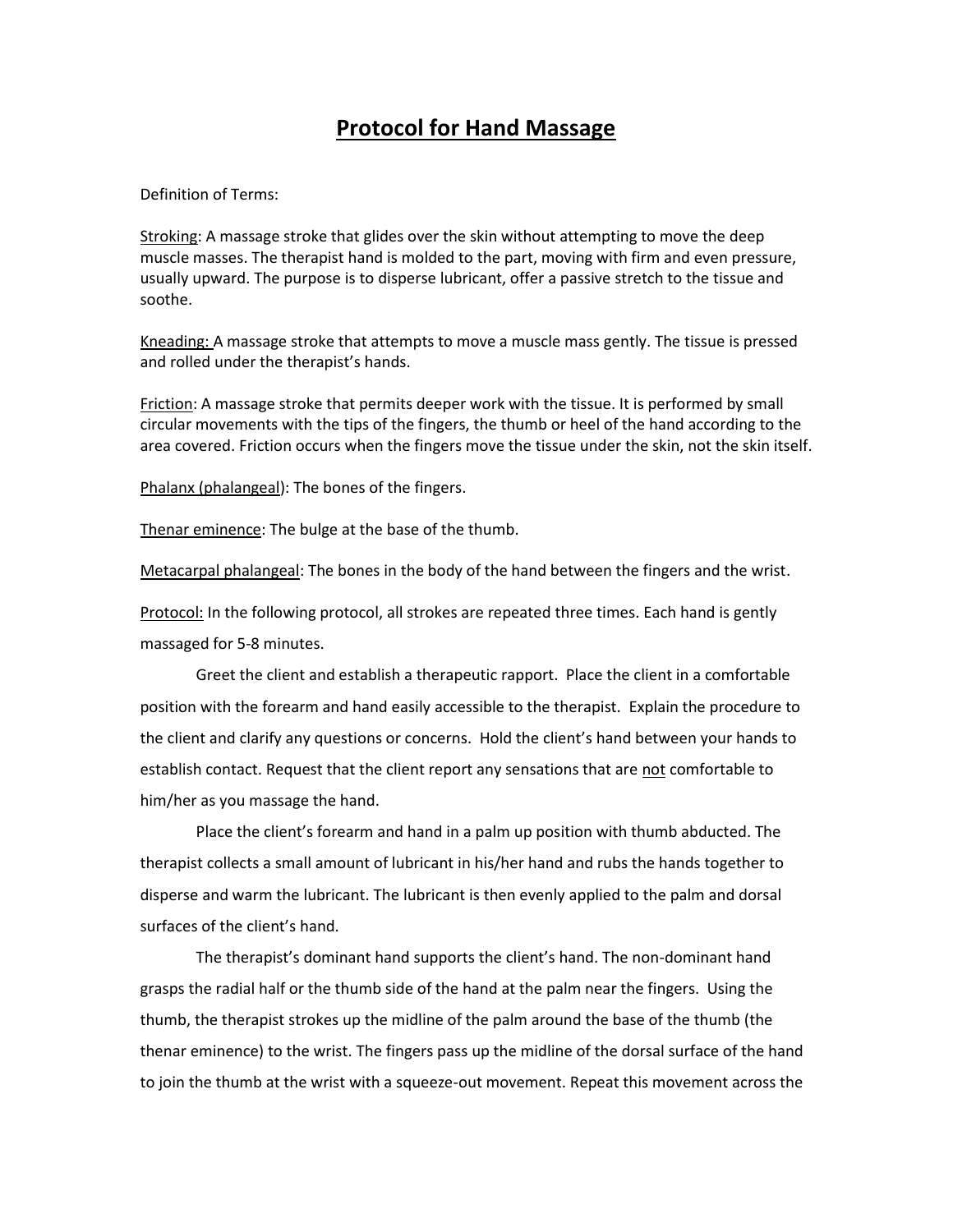## **Protocol for Hand Massage**

## Definition of Terms:

Stroking: A massage stroke that glides over the skin without attempting to move the deep muscle masses. The therapist hand is molded to the part, moving with firm and even pressure, usually upward. The purpose is to disperse lubricant, offer a passive stretch to the tissue and soothe.

Kneading: A massage stroke that attempts to move a muscle mass gently. The tissue is pressed and rolled under the therapist's hands.

Friction: A massage stroke that permits deeper work with the tissue. It is performed by small circular movements with the tips of the fingers, the thumb or heel of the hand according to the area covered. Friction occurs when the fingers move the tissue under the skin, not the skin itself.

Phalanx (phalangeal): The bones of the fingers.

Thenar eminence: The bulge at the base of the thumb.

Metacarpal phalangeal: The bones in the body of the hand between the fingers and the wrist.

**Protocol:** In the following protocol, all strokes are repeated three times. Each hand is gently massaged for 5-8 minutes.

Greet the client and establish a therapeutic rapport. Place the client in a comfortable position with the forearm and hand easily accessible to the therapist. Explain the procedure to the client and clarify any questions or concerns. Hold the client's hand between your hands to establish contact. Request that the client report any sensations that are not comfortable to him/her as you massage the hand.

Place the client's forearm and hand in a palm up position with thumb abducted. The therapist collects a small amount of lubricant in his/her hand and rubs the hands together to disperse and warm the lubricant. The lubricant is then evenly applied to the palm and dorsal surfaces of the client's hand.

The therapist's dominant hand supports the client's hand. The non-dominant hand grasps the radial half or the thumb side of the hand at the palm near the fingers. Using the thumb, the therapist strokes up the midline of the palm around the base of the thumb (the thenar eminence) to the wrist. The fingers pass up the midline of the dorsal surface of the hand to join the thumb at the wrist with a squeeze-out movement. Repeat this movement across the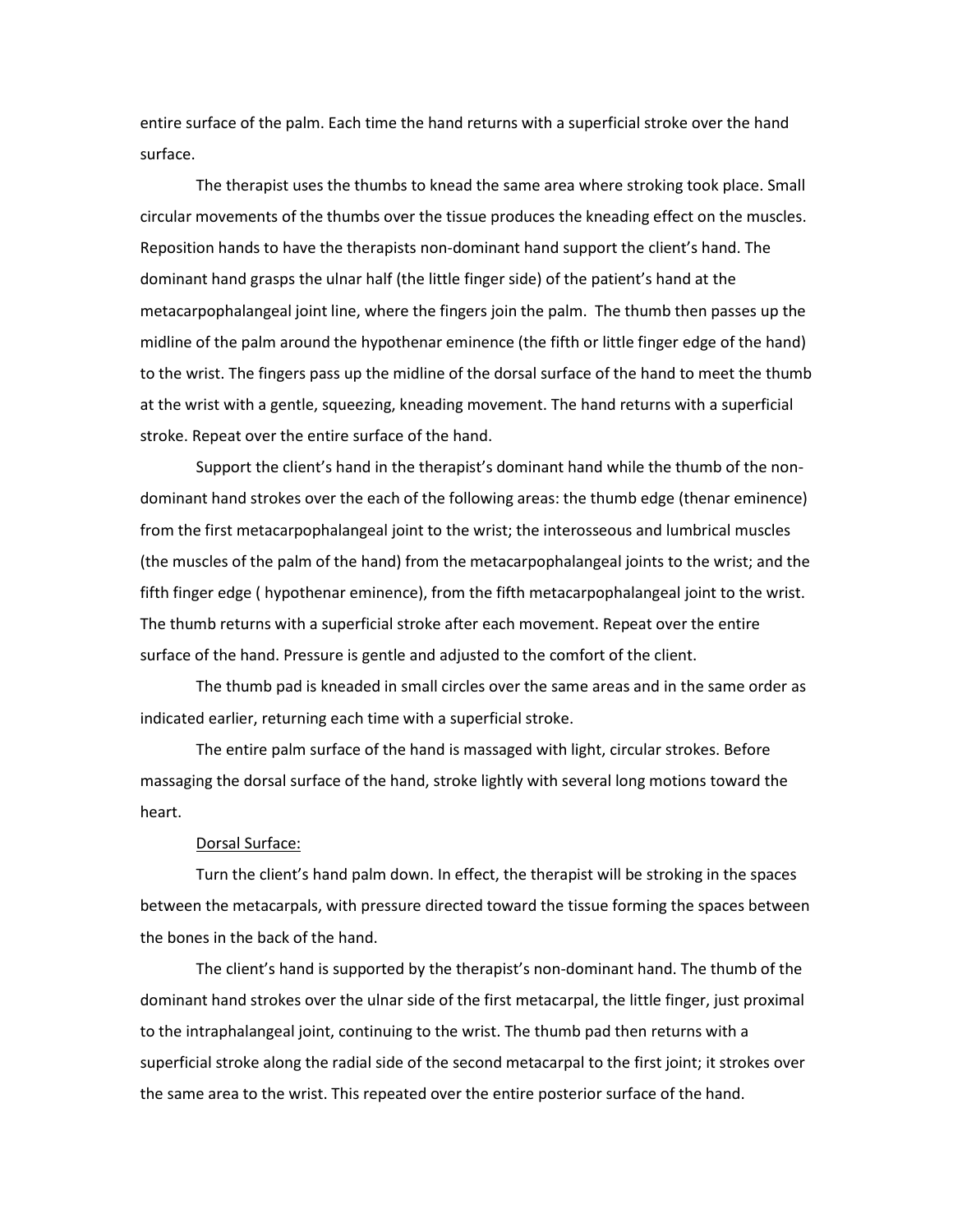entire surface of the palm. Each time the hand returns with a superficial stroke over the hand surface.

The therapist uses the thumbs to knead the same area where stroking took place. Small circular movements of the thumbs over the tissue produces the kneading effect on the muscles. Reposition hands to have the therapists non-dominant hand support the client's hand. The dominant hand grasps the ulnar half (the little finger side) of the patient's hand at the metacarpophalangeal joint line, where the fingers join the palm. The thumb then passes up the midline of the palm around the hypothenar eminence (the fifth or little finger edge of the hand) to the wrist. The fingers pass up the midline of the dorsal surface of the hand to meet the thumb at the wrist with a gentle, squeezing, kneading movement. The hand returns with a superficial stroke. Repeat over the entire surface of the hand.

Support the client's hand in the therapist's dominant hand while the thumb of the nondominant hand strokes over the each of the following areas: the thumb edge (thenar eminence) from the first metacarpophalangeal joint to the wrist; the interosseous and lumbrical muscles (the muscles of the palm of the hand) from the metacarpophalangeal joints to the wrist; and the fifth finger edge ( hypothenar eminence), from the fifth metacarpophalangeal joint to the wrist. The thumb returns with a superficial stroke after each movement. Repeat over the entire surface of the hand. Pressure is gentle and adjusted to the comfort of the client.

The thumb pad is kneaded in small circles over the same areas and in the same order as indicated earlier, returning each time with a superficial stroke.

The entire palm surface of the hand is massaged with light, circular strokes. Before massaging the dorsal surface of the hand, stroke lightly with several long motions toward the heart.

## Dorsal Surface:

Turn the client's hand palm down. In effect, the therapist will be stroking in the spaces between the metacarpals, with pressure directed toward the tissue forming the spaces between the bones in the back of the hand.

The client's hand is supported by the therapist's non-dominant hand. The thumb of the dominant hand strokes over the ulnar side of the first metacarpal, the little finger, just proximal to the intraphalangeal joint, continuing to the wrist. The thumb pad then returns with a superficial stroke along the radial side of the second metacarpal to the first joint; it strokes over the same area to the wrist. This repeated over the entire posterior surface of the hand.